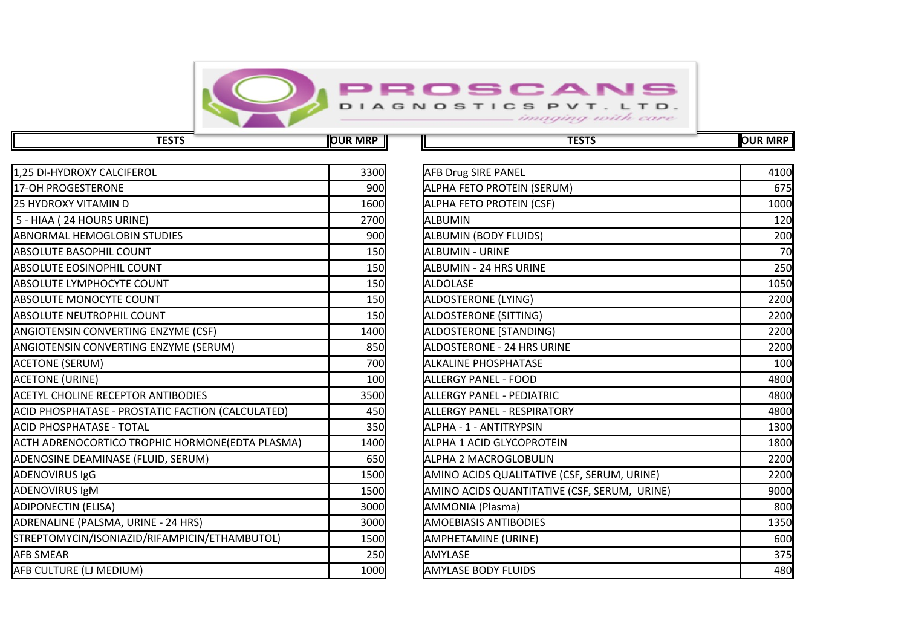

**TESTS OUR MRP TESTS OUR MRP**

| 1,25 DI-HYDROXY CALCIFEROL                        | 3300 | <b>AFB Drug SIRE PANEL</b>                   | 4100 |
|---------------------------------------------------|------|----------------------------------------------|------|
| 17-OH PROGESTERONE                                | 900  | ALPHA FETO PROTEIN (SERUM)                   | 675  |
| 25 HYDROXY VITAMIN D                              | 1600 | ALPHA FETO PROTEIN (CSF)                     | 1000 |
| 5 - HIAA (24 HOURS URINE)                         | 2700 | <b>ALBUMIN</b>                               | 120  |
| <b>ABNORMAL HEMOGLOBIN STUDIES</b>                | 900  | <b>ALBUMIN (BODY FLUIDS)</b>                 | 200  |
| <b>ABSOLUTE BASOPHIL COUNT</b>                    | 150  | <b>ALBUMIN - URINE</b>                       | 70   |
| <b>ABSOLUTE EOSINOPHIL COUNT</b>                  | 150  | ALBUMIN - 24 HRS URINE                       | 250  |
| ABSOLUTE LYMPHOCYTE COUNT                         | 150  | <b>ALDOLASE</b>                              | 1050 |
| <b>ABSOLUTE MONOCYTE COUNT</b>                    | 150  | ALDOSTERONE (LYING)                          | 2200 |
| <b>ABSOLUTE NEUTROPHIL COUNT</b>                  | 150  | ALDOSTERONE (SITTING)                        | 2200 |
| <b>ANGIOTENSIN CONVERTING ENZYME (CSF)</b>        | 1400 | ALDOSTERONE [STANDING)                       | 2200 |
| <b>ANGIOTENSIN CONVERTING ENZYME (SERUM)</b>      | 850  | ALDOSTERONE - 24 HRS URINE                   | 2200 |
| <b>ACETONE (SERUM)</b>                            | 700  | <b>ALKALINE PHOSPHATASE</b>                  | 100  |
| <b>ACETONE (URINE)</b>                            | 100  | <b>ALLERGY PANEL - FOOD</b>                  | 4800 |
| <b>ACETYL CHOLINE RECEPTOR ANTIBODIES</b>         | 3500 | <b>ALLERGY PANEL - PEDIATRIC</b>             | 4800 |
| ACID PHOSPHATASE - PROSTATIC FACTION (CALCULATED) | 450  | <b>ALLERGY PANEL - RESPIRATORY</b>           | 4800 |
| ACID PHOSPHATASE - TOTAL                          | 350  | ALPHA - 1 - ANTITRYPSIN                      | 1300 |
| ACTH ADRENOCORTICO TROPHIC HORMONE(EDTA PLASMA)   | 1400 | ALPHA 1 ACID GLYCOPROTEIN                    | 1800 |
| ADENOSINE DEAMINASE (FLUID, SERUM)                | 650  | <b>ALPHA 2 MACROGLOBULIN</b>                 | 2200 |
| <b>ADENOVIRUS IgG</b>                             | 1500 | AMINO ACIDS QUALITATIVE (CSF, SERUM, URINE)  | 2200 |
| <b>ADENOVIRUS IgM</b>                             | 1500 | AMINO ACIDS QUANTITATIVE (CSF, SERUM, URINE) | 9000 |
| <b>ADIPONECTIN (ELISA)</b>                        | 3000 | AMMONIA (Plasma)                             | 800  |
| ADRENALINE (PALSMA, URINE - 24 HRS)               | 3000 | <b>AMOEBIASIS ANTIBODIES</b>                 | 1350 |
| STREPTOMYCIN/ISONIAZID/RIFAMPICIN/ETHAMBUTOL)     | 1500 | AMPHETAMINE (URINE)                          | 600  |
| <b>AFB SMEAR</b>                                  | 250  | <b>AMYLASE</b>                               | 375  |
| AFB CULTURE (LJ MEDIUM)                           | 1000 | <b>AMYLASE BODY FLUIDS</b>                   | 480  |
|                                                   |      |                                              |      |

| 3300 | <b>AFB Drug SIRE PANEL</b>                   | 4100 |
|------|----------------------------------------------|------|
| 900  | ALPHA FETO PROTEIN (SERUM)                   | 675  |
| 1600 | ALPHA FETO PROTEIN (CSF)                     | 1000 |
| 2700 | <b>ALBUMIN</b>                               | 120  |
| 900  | ALBUMIN (BODY FLUIDS)                        | 200  |
| 150  | <b>ALBUMIN - URINE</b>                       | 70   |
| 150  | <b>ALBUMIN - 24 HRS URINE</b>                | 250  |
| 150  | <b>ALDOLASE</b>                              | 1050 |
| 150  | ALDOSTERONE (LYING)                          | 2200 |
| 150  | ALDOSTERONE (SITTING)                        | 2200 |
| 1400 | ALDOSTERONE [STANDING)                       | 2200 |
| 850  | <b>ALDOSTERONE - 24 HRS URINE</b>            | 2200 |
| 700  | <b>ALKALINE PHOSPHATASE</b>                  | 100  |
| 100  | <b>ALLERGY PANEL - FOOD</b>                  | 4800 |
| 3500 | <b>ALLERGY PANEL - PEDIATRIC</b>             | 4800 |
| 450  | ALLERGY PANEL - RESPIRATORY                  | 4800 |
| 350  | ALPHA - 1 - ANTITRYPSIN                      | 1300 |
| 1400 | ALPHA 1 ACID GLYCOPROTEIN                    | 1800 |
| 650  | ALPHA 2 MACROGLOBULIN                        | 2200 |
| 1500 | AMINO ACIDS QUALITATIVE (CSF, SERUM, URINE)  | 2200 |
| 1500 | AMINO ACIDS QUANTITATIVE (CSF, SERUM, URINE) | 9000 |
| 3000 | AMMONIA (Plasma)                             | 800  |
| 3000 | <b>AMOEBIASIS ANTIBODIES</b>                 | 1350 |
| 1500 | AMPHETAMINE (URINE)                          | 600  |
| 250  | AMYLASE                                      | 375  |
| 1000 | <b>AMYLASE BODY FLUIDS</b>                   | 480  |
|      |                                              |      |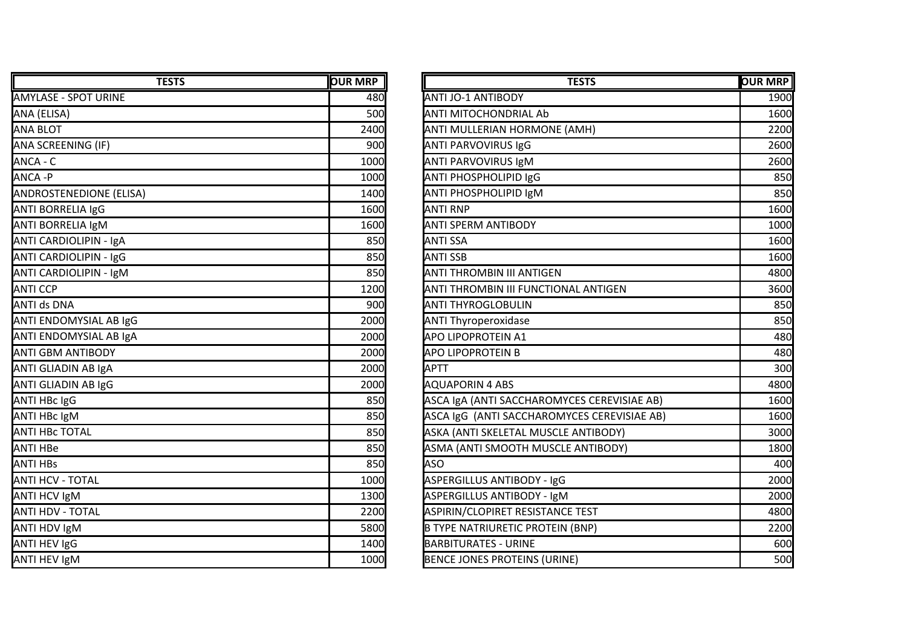| <b>TESTS</b>                   | <b>OUR MRP</b> | <b>TESTS</b>                                | <b>OUR MRP</b> |
|--------------------------------|----------------|---------------------------------------------|----------------|
| <b>AMYLASE - SPOT URINE</b>    | 480            | <b>ANTI JO-1 ANTIBODY</b>                   | 1900           |
| ANA (ELISA)                    | 500            | <b>ANTI MITOCHONDRIAL Ab</b>                | 1600           |
| <b>ANA BLOT</b>                | 2400           | ANTI MULLERIAN HORMONE (AMH)                | 2200           |
| ANA SCREENING (IF)             | 900            | <b>ANTI PARVOVIRUS IgG</b>                  | 2600           |
| ANCA - C                       | 1000           | <b>ANTI PARVOVIRUS IgM</b>                  | 2600           |
| ANCA -P                        | 1000           | ANTI PHOSPHOLIPID IgG                       | 850            |
| <b>ANDROSTENEDIONE (ELISA)</b> | 1400           | <b>ANTI PHOSPHOLIPID IgM</b>                | 850            |
| <b>ANTI BORRELIA IgG</b>       | 1600           | <b>ANTI RNP</b>                             | 1600           |
| ANTI BORRELIA IgM              | 1600           | <b>ANTI SPERM ANTIBODY</b>                  | 1000           |
| ANTI CARDIOLIPIN - IgA         | 850            | <b>ANTI SSA</b>                             | 1600           |
| <b>ANTI CARDIOLIPIN - IgG</b>  | 850            | <b>ANTI SSB</b>                             | 1600           |
| <b>ANTI CARDIOLIPIN - IgM</b>  | 850            | <b>ANTI THROMBIN III ANTIGEN</b>            | 4800           |
| <b>ANTI CCP</b>                | 1200           | ANTI THROMBIN III FUNCTIONAL ANTIGEN        | 3600           |
| <b>ANTI ds DNA</b>             | 900            | <b>ANTI THYROGLOBULIN</b>                   | 850            |
| ANTI ENDOMYSIAL AB IgG         | 2000           | <b>ANTI Thyroperoxidase</b>                 | 850            |
| ANTI ENDOMYSIAL AB IgA         | 2000           | <b>APO LIPOPROTEIN A1</b>                   | 480            |
| <b>ANTI GBM ANTIBODY</b>       | 2000           | <b>APO LIPOPROTEIN B</b>                    | 480            |
| ANTI GLIADIN AB IgA            | 2000           | <b>APTT</b>                                 | 300            |
| ANTI GLIADIN AB IgG            | 2000           | <b>AQUAPORIN 4 ABS</b>                      | 4800           |
| ANTI HBc IgG                   | 850            | ASCA IgA (ANTI SACCHAROMYCES CEREVISIAE AB) | 1600           |
| <b>ANTI HBC IgM</b>            | 850            | ASCA IgG (ANTI SACCHAROMYCES CEREVISIAE AB) | 1600           |
| <b>ANTI HBC TOTAL</b>          | 850            | ASKA (ANTI SKELETAL MUSCLE ANTIBODY)        | 3000           |
| ANTI HBe                       | 850            | ASMA (ANTI SMOOTH MUSCLE ANTIBODY)          | 1800           |
| <b>ANTI HBS</b>                | 850            | ASO                                         | 400            |
| <b>ANTI HCV - TOTAL</b>        | 1000           | ASPERGILLUS ANTIBODY - IgG                  | 2000           |
| <b>ANTI HCV IgM</b>            | 1300           | ASPERGILLUS ANTIBODY - IgM                  | 2000           |
| ANTI HDV - TOTAL               | 2200           | ASPIRIN/CLOPIRET RESISTANCE TEST            | 4800           |
| ANTI HDV IgM                   | 5800           | <b>B TYPE NATRIURETIC PROTEIN (BNP)</b>     | 2200           |
| ANTI HEV IgG                   | 1400           | <b>BARBITURATES - URINE</b>                 | 600            |
| <b>ANTI HEV IgM</b>            | 1000           | <b>BENCE JONES PROTEINS (URINE)</b>         | 500            |

| <b>TESTS</b> | <b>OUR MRP</b> | <b>TESTS</b>                                | <b>OUR MRP</b> |
|--------------|----------------|---------------------------------------------|----------------|
|              | 480            | ANTI JO-1 ANTIBODY                          | 1900           |
|              | 500            | ANTI MITOCHONDRIAL Ab                       | 1600           |
|              | 2400           | ANTI MULLERIAN HORMONE (AMH)                | 2200           |
|              | 900            | <b>ANTI PARVOVIRUS IgG</b>                  | 2600           |
|              | 1000           | <b>ANTI PARVOVIRUS IgM</b>                  | 2600           |
|              | 1000           | <b>ANTI PHOSPHOLIPID IgG</b>                | 850            |
|              | 1400           | ANTI PHOSPHOLIPID IgM                       | 850            |
|              | 1600           | <b>ANTI RNP</b>                             | 1600           |
|              | 1600           | <b>ANTI SPERM ANTIBODY</b>                  | 1000           |
|              | 850            | <b>ANTI SSA</b>                             | 1600           |
|              | 850            | <b>ANTI SSB</b>                             | 1600           |
|              | 850            | ANTI THROMBIN III ANTIGEN                   | 4800           |
|              | 1200           | ANTI THROMBIN III FUNCTIONAL ANTIGEN        | 3600           |
|              | 900            | <b>ANTI THYROGLOBULIN</b>                   | 850            |
|              | 2000           | <b>ANTI Thyroperoxidase</b>                 | 850            |
|              | 2000           | <b>APO LIPOPROTEIN A1</b>                   | 480            |
|              | 2000           | <b>APO LIPOPROTEIN B</b>                    | 480            |
|              | 2000           | <b>APTT</b>                                 | 300            |
|              | 2000           | <b>AQUAPORIN 4 ABS</b>                      | 4800           |
|              | 850            | ASCA IgA (ANTI SACCHAROMYCES CEREVISIAE AB) | 1600           |
|              | 850            | ASCA IgG (ANTI SACCHAROMYCES CEREVISIAE AB) | 1600           |
|              | 850            | ASKA (ANTI SKELETAL MUSCLE ANTIBODY)        | 3000           |
|              | 850            | ASMA (ANTI SMOOTH MUSCLE ANTIBODY)          | 1800           |
|              | 850            | <b>ASO</b>                                  | 400            |
|              | 1000           | ASPERGILLUS ANTIBODY - IgG                  | 2000           |
|              | 1300           | <b>ASPERGILLUS ANTIBODY - IgM</b>           | 2000           |
|              | 2200           | ASPIRIN/CLOPIRET RESISTANCE TEST            | 4800           |
|              | 5800           | <b>B TYPE NATRIURETIC PROTEIN (BNP)</b>     | 2200           |
|              | 1400           | <b>BARBITURATES - URINE</b>                 | 600            |
|              | 1000           | BENCE JONES PROTEINS (URINE)                | 500            |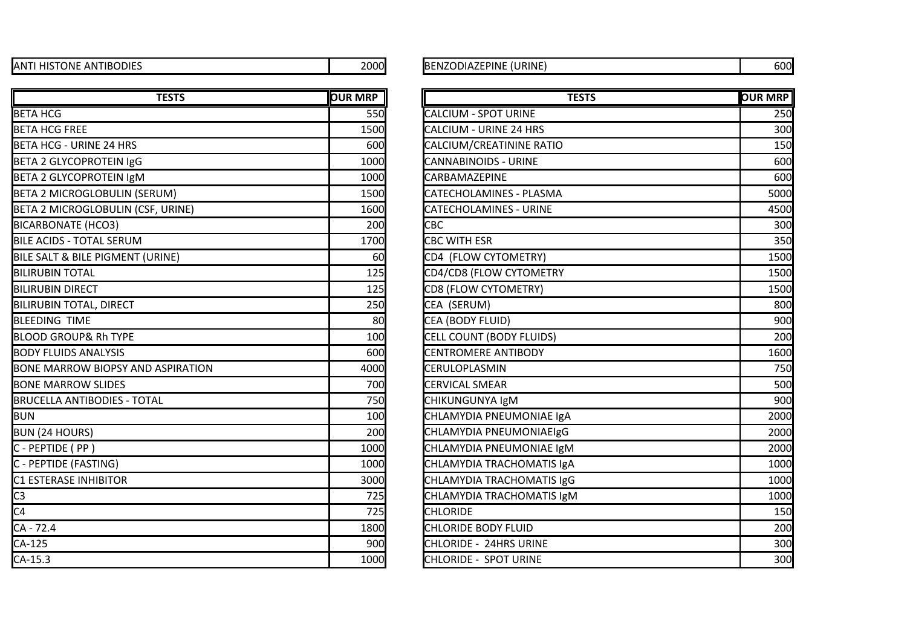| <b>ANTI HISTONE ANTIBODIES</b> | 2000 |
|--------------------------------|------|
|                                |      |

## BENZODIAZEPINE (URINE) 600

| <b>TESTS</b>                             | <b>OUR MRP</b> | <b>TESTS</b>                   | <b>OUR MRP</b> |
|------------------------------------------|----------------|--------------------------------|----------------|
| <b>BETA HCG</b>                          | 550            | <b>CALCIUM - SPOT URINE</b>    | 250            |
| <b>BETA HCG FREE</b>                     | 1500           | <b>CALCIUM - URINE 24 HRS</b>  | 300            |
| BETA HCG - URINE 24 HRS                  | 600            | CALCIUM/CREATININE RATIO       | 150            |
| <b>BETA 2 GLYCOPROTEIN IgG</b>           | 1000           | <b>CANNABINOIDS - URINE</b>    | 600            |
| <b>BETA 2 GLYCOPROTEIN IgM</b>           | 1000           | <b>CARBAMAZEPINE</b>           | 600            |
| <b>BETA 2 MICROGLOBULIN (SERUM)</b>      | 1500           | <b>CATECHOLAMINES - PLASMA</b> | 5000           |
| BETA 2 MICROGLOBULIN (CSF, URINE)        | 1600           | <b>CATECHOLAMINES - URINE</b>  | 4500           |
| <b>BICARBONATE (HCO3)</b>                | 200            | <b>CBC</b>                     | 300            |
| <b>BILE ACIDS - TOTAL SERUM</b>          | 1700           | CBC WITH ESR                   | 350            |
| BILE SALT & BILE PIGMENT (URINE)         | 60             | CD4 (FLOW CYTOMETRY)           | 1500           |
| <b>I</b> BILIRUBIN TOTAL                 | 125            | CD4/CD8 (FLOW CYTOMETRY        | 1500           |
| <b>BILIRUBIN DIRECT</b>                  | 125            | CD8 (FLOW CYTOMETRY)           | 1500           |
| <b>BILIRUBIN TOTAL, DIRECT</b>           | 250            | CEA (SERUM)                    | 800            |
| <b>BLEEDING TIME</b>                     | 80             | CEA (BODY FLUID)               | 900            |
| <b>BLOOD GROUP&amp; Rh TYPE</b>          | 100            | CELL COUNT (BODY FLUIDS)       | 200            |
| <b>BODY FLUIDS ANALYSIS</b>              | 600            | <b>CENTROMERE ANTIBODY</b>     | 1600           |
| <b>BONE MARROW BIOPSY AND ASPIRATION</b> | 4000           | CERULOPLASMIN                  | 750            |
| <b>BONE MARROW SLIDES</b>                | 700            | CERVICAL SMEAR                 | 500            |
| <b>BRUCELLA ANTIBODIES - TOTAL</b>       | 750            | CHIKUNGUNYA IgM                | 900            |
| <b>BUN</b>                               | 100            | CHLAMYDIA PNEUMONIAE IgA       | 2000           |
| <b>BUN (24 HOURS)</b>                    | 200            | CHLAMYDIA PNEUMONIAEIgG        | 2000           |
| C - PEPTIDE (PP)                         | 1000           | CHLAMYDIA PNEUMONIAE IgM       | 2000           |
| C - PEPTIDE (FASTING)                    | 1000           | CHLAMYDIA TRACHOMATIS IgA      | 1000           |
| <b>C1 ESTERASE INHIBITOR</b>             | 3000           | CHLAMYDIA TRACHOMATIS IgG      | 1000           |
| C <sub>3</sub>                           | 725            | CHLAMYDIA TRACHOMATIS IgM      | 1000           |
| C <sub>4</sub>                           | 725            | <b>CHLORIDE</b>                | 150            |
| CA - 72.4                                | 1800           | <b>CHLORIDE BODY FLUID</b>     | 200            |
| $CA-125$                                 | 900            | <b>CHLORIDE - 24HRS URINE</b>  | 300            |
| $CA-15.3$                                | 1000           | CHLORIDE - SPOT URINE          | 300            |

| <b>TESTS</b>      | <b>OUR MRP</b> | <b>TESTS</b>                   | <b>OUR MRP</b> |
|-------------------|----------------|--------------------------------|----------------|
|                   | 550            | <b>CALCIUM - SPOT URINE</b>    | 250            |
|                   | 1500           | <b>CALCIUM - URINE 24 HRS</b>  | 300            |
|                   | 600            | CALCIUM/CREATININE RATIO       | 150            |
|                   | 1000           | <b>CANNABINOIDS - URINE</b>    | 600            |
|                   | 1000           | <b>CARBAMAZEPINE</b>           | 600            |
| UM)               | 1500           | <b>CATECHOLAMINES - PLASMA</b> | 5000           |
| , URINE)          | 1600           | <b>CATECHOLAMINES - URINE</b>  | 4500           |
|                   | 200            | <b>CBC</b>                     | 300            |
|                   | 1700           | <b>CBC WITH ESR</b>            | 350            |
| <b>RINE)</b>      | 60             | CD4 (FLOW CYTOMETRY)           | 1500           |
|                   | 125            | CD4/CD8 (FLOW CYTOMETRY        | 1500           |
|                   | 125            | CD8 (FLOW CYTOMETRY)           | 1500           |
|                   | 250            | CEA (SERUM)                    | 800            |
|                   | 80             | CEA (BODY FLUID)               | 900            |
|                   | 100            | CELL COUNT (BODY FLUIDS)       | 200            |
|                   | 600            | <b>CENTROMERE ANTIBODY</b>     | 1600           |
| <b>ASPIRATION</b> | 4000           | CERULOPLASMIN                  | 750            |
|                   | 700            | <b>CERVICAL SMEAR</b>          | 500            |
| ١L                | 750            | CHIKUNGUNYA IgM                | 900            |
|                   | 100            | CHLAMYDIA PNEUMONIAE IgA       | 2000           |
|                   | 200            | CHLAMYDIA PNEUMONIAEIgG        | 2000           |
|                   | 1000           | CHLAMYDIA PNEUMONIAE IgM       | 2000           |
|                   | 1000           | CHLAMYDIA TRACHOMATIS IgA      | 1000           |
|                   | 3000           | CHLAMYDIA TRACHOMATIS IgG      | 1000           |
|                   | 725            | CHLAMYDIA TRACHOMATIS IgM      | 1000           |
|                   | 725            | <b>CHLORIDE</b>                | 150            |
|                   | 1800           | CHLORIDE BODY FLUID            | 200            |
|                   | 900            | <b>CHLORIDE - 24HRS URINE</b>  | 300            |
|                   | 1000           | CHLORIDE - SPOT URINE          | 300            |
|                   |                |                                |                |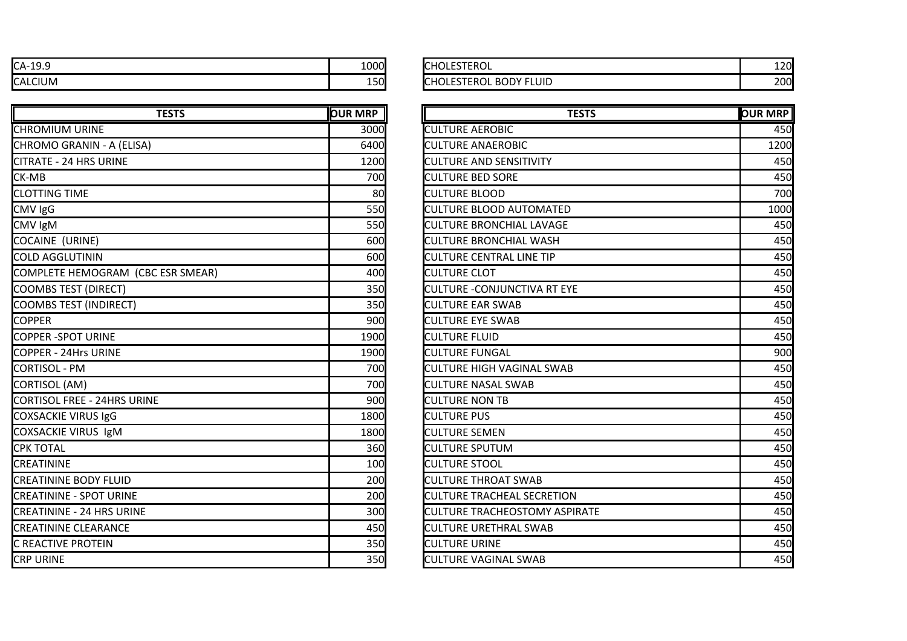| $CA-19.9$      | 1000          | <b>HOLESTEROL</b>                   | 120        |
|----------------|---------------|-------------------------------------|------------|
| <b>CALCIUM</b> | 1 ⊑∩l<br>⊥J∪I | <b>BODY FLUID</b><br>STEROL<br>:HOL | 200<br>∠∪⊾ |

| <b>TESTS</b>                       | <b>OUR MRP</b> | <b>TESTS</b>                         | <b>OUR MRP</b> |
|------------------------------------|----------------|--------------------------------------|----------------|
| CHROMIUM URINE                     | 3000           | <b>CULTURE AEROBIC</b>               | 450            |
| CHROMO GRANIN - A (ELISA)          | 6400           | <b>CULTURE ANAEROBIC</b>             | 1200           |
| CITRATE - 24 HRS URINE             | 1200           | <b>CULTURE AND SENSITIVITY</b>       | 450            |
| CK-MB                              | 700            | <b>CULTURE BED SORE</b>              | 450            |
| <b>CLOTTING TIME</b>               | 80             | <b>CULTURE BLOOD</b>                 | 700            |
| CMV IgG                            | 550            | <b>CULTURE BLOOD AUTOMATED</b>       | 1000           |
| CMV IgM                            | 550            | <b>CULTURE BRONCHIAL LAVAGE</b>      | 450            |
| COCAINE (URINE)                    | 600            | <b>CULTURE BRONCHIAL WASH</b>        | 450            |
| COLD AGGLUTININ                    | 600            | <b>CULTURE CENTRAL LINE TIP</b>      | 450            |
| COMPLETE HEMOGRAM (CBC ESR SMEAR)  | 400            | <b>CULTURE CLOT</b>                  | 450            |
| <b>COOMBS TEST (DIRECT)</b>        | 350            | <b>CULTURE - CONJUNCTIVA RT EYE</b>  | 450            |
| <b>COOMBS TEST (INDIRECT)</b>      | 350            | <b>CULTURE EAR SWAB</b>              | 450            |
| <b>COPPER</b>                      | 900            | <b>CULTURE EYE SWAB</b>              | 450            |
| <b>COPPER -SPOT URINE</b>          | 1900           | <b>CULTURE FLUID</b>                 | 450            |
| COPPER - 24Hrs URINE               | 1900           | <b>CULTURE FUNGAL</b>                | 900            |
| CORTISOL - PM                      | 700            | <b>CULTURE HIGH VAGINAL SWAB</b>     | 450            |
| CORTISOL (AM)                      | 700            | <b>CULTURE NASAL SWAB</b>            | 450            |
| <b>CORTISOL FREE - 24HRS URINE</b> | 900            | <b>CULTURE NON TB</b>                | 450            |
| COXSACKIE VIRUS IgG                | 1800           | <b>CULTURE PUS</b>                   | 450            |
| COXSACKIE VIRUS IgM                | 1800           | <b>CULTURE SEMEN</b>                 | 450            |
| <b>CPK TOTAL</b>                   | 360            | <b>CULTURE SPUTUM</b>                | 450            |
| <b>CREATININE</b>                  | 100            | <b>CULTURE STOOL</b>                 | 450            |
| <b>CREATININE BODY FLUID</b>       | 200            | <b>CULTURE THROAT SWAB</b>           | 450            |
| <b>CREATININE - SPOT URINE</b>     | 200            | <b>CULTURE TRACHEAL SECRETION</b>    | 450            |
| <b>CREATININE - 24 HRS URINE</b>   | 300            | <b>CULTURE TRACHEOSTOMY ASPIRATE</b> | 450            |
| <b>CREATININE CLEARANCE</b>        | 450            | <b>CULTURE URETHRAL SWAB</b>         | 450            |
| C REACTIVE PROTEIN                 | 350            | <b>CULTURE URINE</b>                 | 450            |
| <b>CRP URINE</b>                   | 350            | <b>CULTURE VAGINAL SWAB</b>          | 450            |
|                                    |                |                                      |                |

| <b>CHOLESTEROL</b>            |  |
|-------------------------------|--|
| <b>CHOLESTEROL BODY FLUID</b> |  |

| <b>TESTS</b>      | <b>OUR MRP</b> | <b>TESTS</b>                         | <b>OUR MRP</b> |
|-------------------|----------------|--------------------------------------|----------------|
|                   | 3000l          | <b>CULTURE AEROBIC</b>               | 450            |
|                   | 6400           | <b>CULTURE ANAEROBIC</b>             | 1200           |
|                   | 1200           | <b>CULTURE AND SENSITIVITY</b>       | 450            |
|                   | 700            | <b>CULTURE BED SORE</b>              | 450            |
|                   | 80             | <b>CULTURE BLOOD</b>                 | 700            |
|                   | 550            | <b>CULTURE BLOOD AUTOMATED</b>       | 1000           |
|                   | 550            | <b>CULTURE BRONCHIAL LAVAGE</b>      | 450            |
|                   | 600            | <b>CULTURE BRONCHIAL WASH</b>        | 450            |
|                   | 600            | <b>CULTURE CENTRAL LINE TIP</b>      | 450            |
| <b>ESR SMEAR)</b> | 400            | <b>CULTURE CLOT</b>                  | 450            |
|                   | 350            | <b>CULTURE - CONJUNCTIVA RT EYE</b>  | 450            |
|                   | 350            | <b>CULTURE EAR SWAB</b>              | 450            |
|                   | 900            | <b>CULTURE EYE SWAB</b>              | 450            |
|                   | 1900           | <b>CULTURE FLUID</b>                 | 450            |
|                   | 1900           | <b>CULTURE FUNGAL</b>                | 900            |
|                   | 700            | <b>CULTURE HIGH VAGINAL SWAB</b>     | 450            |
|                   | 700            | <b>CULTURE NASAL SWAB</b>            | 450            |
|                   | 900            | <b>CULTURE NON TB</b>                | 450            |
|                   | 1800           | <b>CULTURE PUS</b>                   | 450            |
|                   | 1800           | <b>CULTURE SEMEN</b>                 | 450            |
|                   | 360            | <b>CULTURE SPUTUM</b>                | 450            |
|                   | 100            | <b>CULTURE STOOL</b>                 | 450            |
|                   | 200            | <b>CULTURE THROAT SWAB</b>           | 450            |
|                   | 200            | <b>CULTURE TRACHEAL SECRETION</b>    | 450            |
|                   | 300            | <b>CULTURE TRACHEOSTOMY ASPIRATE</b> | 450            |
|                   | 450            | <b>CULTURE URETHRAL SWAB</b>         | 450            |
|                   | 350            | <b>CULTURE URINE</b>                 | 450            |
|                   | 350            | <b>CULTURE VAGINAL SWAB</b>          | 450            |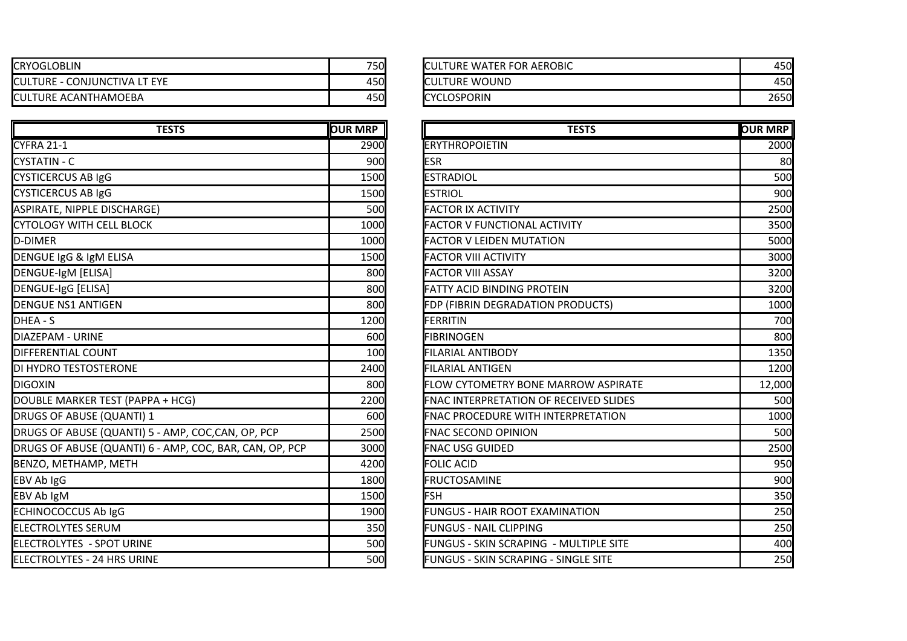| <b>CRYOGLOBLIN</b>                       | 750 | <b>ICULTURE WATER FOR AEROBIC</b> | 450  |
|------------------------------------------|-----|-----------------------------------|------|
| E - CONJUNCTIVA LT EYE<br><b>CULTURE</b> | 450 | <b>ICULTURE WOUND</b>             | 450  |
| <b>CULTURE ACANTHAMOEBA</b>              | 450 | <b>ICYCLOSPORIN</b>               | 2650 |

| <b>TESTS</b>                                            | <b>OUR MRP</b> | <b>TESTS</b>                                  | <b>OUR MRP</b> |
|---------------------------------------------------------|----------------|-----------------------------------------------|----------------|
| CYFRA 21-1                                              | 2900           | <b>ERYTHROPOIETIN</b>                         | 2000           |
| CYSTATIN - C                                            | 900            | <b>ESR</b>                                    | 80             |
| <b>CYSTICERCUS AB IgG</b>                               | 1500           | <b>ESTRADIOL</b>                              | 500            |
| <b>CYSTICERCUS AB IgG</b>                               | 1500           | <b>ESTRIOL</b>                                | 900            |
| ASPIRATE, NIPPLE DISCHARGE)                             | 500            | <b>FACTOR IX ACTIVITY</b>                     | 2500           |
| <b>CYTOLOGY WITH CELL BLOCK</b>                         | 1000           | <b>FACTOR V FUNCTIONAL ACTIVITY</b>           | 3500           |
| <b>D-DIMER</b>                                          | 1000           | <b>FACTOR V LEIDEN MUTATION</b>               | 5000           |
| DENGUE IgG & IgM ELISA                                  | 1500           | <b>FACTOR VIII ACTIVITY</b>                   | 3000           |
| DENGUE-IgM [ELISA]                                      | 800            | <b>FACTOR VIII ASSAY</b>                      | 3200           |
| <b>DENGUE-IgG [ELISA]</b>                               | 800            | <b>FATTY ACID BINDING PROTEIN</b>             | 3200           |
| <b>DENGUE NS1 ANTIGEN</b>                               | 800            | FDP (FIBRIN DEGRADATION PRODUCTS)             | 1000           |
| DHEA - S                                                | 1200           | FERRITIN                                      | 700            |
| DIAZEPAM - URINE                                        | 600            | <b>FIBRINOGEN</b>                             | 800            |
| <b>DIFFERENTIAL COUNT</b>                               | 100            | <b>FILARIAL ANTIBODY</b>                      | 1350           |
| DI HYDRO TESTOSTERONE                                   | 2400           | <b>FILARIAL ANTIGEN</b>                       | 1200           |
| DIGOXIN                                                 | 800            | FLOW CYTOMETRY BONE MARROW ASPIRATE           | 12,000         |
| DOUBLE MARKER TEST (PAPPA + HCG)                        | 2200           | <b>FNAC INTERPRETATION OF RECEIVED SLIDES</b> | 500            |
| DRUGS OF ABUSE (QUANTI) 1                               | 600            | FNAC PROCEDURE WITH INTERPRETATION            | 1000           |
| DRUGS OF ABUSE (QUANTI) 5 - AMP, COC,CAN, OP, PCP       | 2500           | <b>FNAC SECOND OPINION</b>                    | 500            |
| DRUGS OF ABUSE (QUANTI) 6 - AMP, COC, BAR, CAN, OP, PCP | 3000           | <b>FNAC USG GUIDED</b>                        | 2500           |
| BENZO, METHAMP, METH                                    | 4200           | <b>FOLIC ACID</b>                             | 950            |
| EBV Ab IgG                                              | 1800           | <b>FRUCTOSAMINE</b>                           | 900            |
| EBV Ab IgM                                              | 1500           | FSH                                           | 350            |
| ECHINOCOCCUS Ab IgG                                     | 1900           | <b>FUNGUS - HAIR ROOT EXAMINATION</b>         | 250            |
| <b>ELECTROLYTES SERUM</b>                               | 350            | <b>FUNGUS - NAIL CLIPPING</b>                 | 250            |
| ELECTROLYTES - SPOT URINE                               | 500            | FUNGUS - SKIN SCRAPING - MULTIPLE SITE        | 400            |
| <b>ELECTROLYTES - 24 HRS URINE</b>                      | 500            | FUNGUS - SKIN SCRAPING - SINGLE SITE          | 250            |

| <b>ICULTURE WATER FOR AEROBIC</b> |       |
|-----------------------------------|-------|
| <b>ICULTURE WOUND</b>             |       |
| <b>ICYCLOSPORIN</b>               | 26501 |

| <b>TESTS</b>                  | <b>OUR MRP</b> | <b>TESTS</b>                                  | <b>OUR MRP</b> |
|-------------------------------|----------------|-----------------------------------------------|----------------|
|                               | 2900           | <b>ERYTHROPOIETIN</b>                         | 2000           |
|                               | 900            | ESR                                           | 80             |
|                               | 1500           | <b>ESTRADIOL</b>                              | 500            |
|                               | 1500           | <b>ESTRIOL</b>                                | 900            |
|                               | 500            | <b>FACTOR IX ACTIVITY</b>                     | 2500           |
|                               | 1000           | <b>FACTOR V FUNCTIONAL ACTIVITY</b>           | 3500           |
|                               | 1000           | <b>FACTOR V LEIDEN MUTATION</b>               | 5000           |
|                               | 1500           | <b>FACTOR VIII ACTIVITY</b>                   | 3000           |
|                               | 800            | <b>FACTOR VIII ASSAY</b>                      | 3200           |
|                               | 800            | <b>FATTY ACID BINDING PROTEIN</b>             | 3200           |
|                               | 800            | FDP (FIBRIN DEGRADATION PRODUCTS)             | 1000           |
|                               | 1200           | FERRITIN                                      | 700            |
|                               | 600            | <b>FIBRINOGEN</b>                             | 800            |
|                               | 100            | <b>FILARIAL ANTIBODY</b>                      | 1350           |
|                               | 2400           | <b>FILARIAL ANTIGEN</b>                       | 1200           |
|                               | 800            | FLOW CYTOMETRY BONE MARROW ASPIRATE           | 12,000         |
| $\lambda$ + HCG)              | 2200           | <b>FNAC INTERPRETATION OF RECEIVED SLIDES</b> | <b>500</b>     |
|                               | 600            | <b>FNAC PROCEDURE WITH INTERPRETATION</b>     | 1000           |
| - AMP, COC, CAN, OP, PCP      | 2500           | <b>FNAC SECOND OPINION</b>                    | 500            |
| - AMP, COC, BAR, CAN, OP, PCP | 3000           | <b>FNAC USG GUIDED</b>                        | 2500           |
|                               | 4200           | <b>FOLIC ACID</b>                             | 950            |
|                               | 1800           | <b>FRUCTOSAMINE</b>                           | 900            |
|                               | 1500           | <b>FSH</b>                                    | 350            |
|                               | 1900           | <b>FUNGUS - HAIR ROOT EXAMINATION</b>         | 250            |
|                               | 350            | <b>FUNGUS - NAIL CLIPPING</b>                 | 250            |
|                               | 500            | FUNGUS - SKIN SCRAPING - MULTIPLE SITE        | 400            |
|                               | <b>500</b>     | FUNGUS - SKIN SCRAPING - SINGLE SITE          | 250            |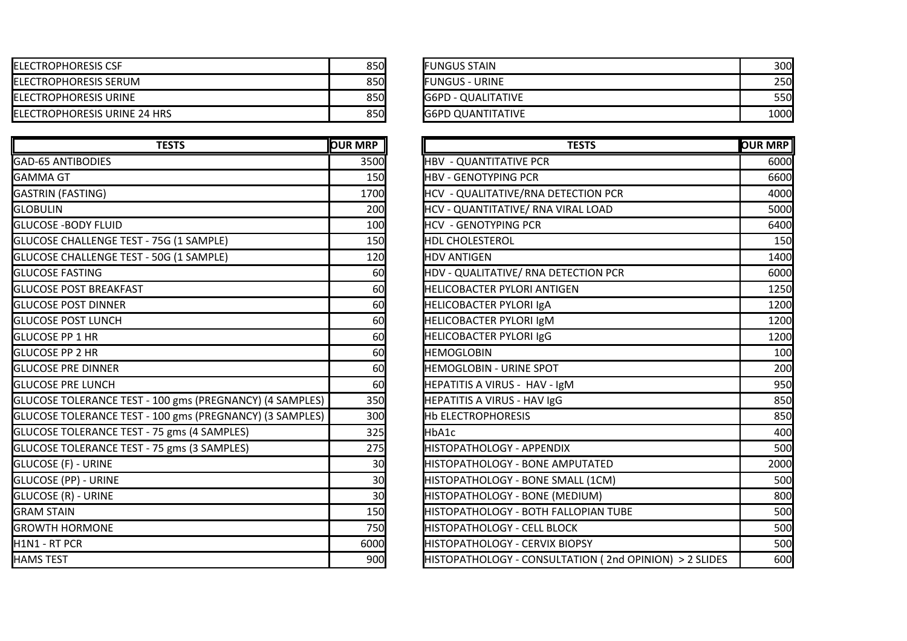| <b>IELECTROPHORESIS CSF</b>          | 850 <b>1</b> | <b>FUNGUS STAIN</b>       | 300  |
|--------------------------------------|--------------|---------------------------|------|
| <b>IELECTROPHORESIS SERUM</b>        | 850l         | <b>IFUNGUS - URINE</b>    | 250  |
| <b>IELECTROPHORESIS URINE</b>        | 850 <b>1</b> | <b>G6PD - QUALITATIVE</b> | 550  |
| <b>IELECTROPHORESIS URINE 24 HRS</b> | 850 <b>1</b> | <b>G6PD QUANTITATIVE</b>  | 1000 |

| <b>TESTS</b>                                             | <b>OUR MRP</b> | <b>TESTS</b>                                           | <b>OUR MRP</b> |
|----------------------------------------------------------|----------------|--------------------------------------------------------|----------------|
| <b>GAD-65 ANTIBODIES</b>                                 | 3500           | <b>HBV - QUANTITATIVE PCR</b>                          | 6000           |
| <b>GAMMA GT</b>                                          | 150            | <b>HBV - GENOTYPING PCR</b>                            | 6600           |
| GASTRIN (FASTING)                                        | 1700           | HCV - QUALITATIVE/RNA DETECTION PCR                    | 4000           |
| <b>GLOBULIN</b>                                          | 200            | HCV - QUANTITATIVE/ RNA VIRAL LOAD                     | 5000           |
| <b>GLUCOSE -BODY FLUID</b>                               | 100            | <b>HCV - GENOTYPING PCR</b>                            | 6400           |
| GLUCOSE CHALLENGE TEST - 75G (1 SAMPLE)                  | 150            | <b>HDL CHOLESTEROL</b>                                 | 150            |
| GLUCOSE CHALLENGE TEST - 50G (1 SAMPLE)                  | 120            | <b>HDV ANTIGEN</b>                                     | 1400           |
| <b>GLUCOSE FASTING</b>                                   | 60             | HDV - QUALITATIVE/ RNA DETECTION PCR                   | 6000           |
| <b>GLUCOSE POST BREAKFAST</b>                            | 60             | <b>HELICOBACTER PYLORI ANTIGEN</b>                     | 1250           |
| <b>GLUCOSE POST DINNER</b>                               | 60             | <b>HELICOBACTER PYLORI IGA</b>                         | 1200           |
| <b>IGLUCOSE POST LUNCH</b>                               | 60             | <b>HELICOBACTER PYLORI IgM</b>                         | 1200           |
| <b>GLUCOSE PP 1 HR</b>                                   | 60             | <b>HELICOBACTER PYLORI IgG</b>                         | 1200           |
| <b>GLUCOSE PP 2 HR</b>                                   | 60             | <b>HEMOGLOBIN</b>                                      | 100            |
| <b>GLUCOSE PRE DINNER</b>                                | 60             | <b>HEMOGLOBIN - URINE SPOT</b>                         | 200            |
| <b>GLUCOSE PRE LUNCH</b>                                 | 60             | HEPATITIS A VIRUS - HAV - IgM                          | 950            |
| GLUCOSE TOLERANCE TEST - 100 gms (PREGNANCY) (4 SAMPLES) | 350            | <b>HEPATITIS A VIRUS - HAV IgG</b>                     | 850            |
| GLUCOSE TOLERANCE TEST - 100 gms (PREGNANCY) (3 SAMPLES) | 300            | <b>Hb ELECTROPHORESIS</b>                              | 850            |
| GLUCOSE TOLERANCE TEST - 75 gms (4 SAMPLES)              | 325            | HbA1c                                                  | 400            |
| GLUCOSE TOLERANCE TEST - 75 gms (3 SAMPLES)              | 275            | <b>HISTOPATHOLOGY - APPENDIX</b>                       | 500            |
| <b>GLUCOSE (F) - URINE</b>                               | 30             | HISTOPATHOLOGY - BONE AMPUTATED                        | 2000           |
| <b>GLUCOSE (PP) - URINE</b>                              | 30             | HISTOPATHOLOGY - BONE SMALL (1CM)                      | 500            |
| <b>GLUCOSE (R) - URINE</b>                               | 30             | HISTOPATHOLOGY - BONE (MEDIUM)                         | 800            |
| <b>GRAM STAIN</b>                                        | 150            | HISTOPATHOLOGY - BOTH FALLOPIAN TUBE                   | 500            |
| <b>GROWTH HORMONE</b>                                    | 750            | <b>HISTOPATHOLOGY - CELL BLOCK</b>                     | 500            |
| H1N1 - RT PCR                                            | 6000           | HISTOPATHOLOGY - CERVIX BIOPSY                         | 500            |
| <b>HAMS TEST</b>                                         | 900            | HISTOPATHOLOGY - CONSULTATION (2nd OPINION) > 2 SLIDES | 600            |

| FUNGUS STAIN       | 300I  |
|--------------------|-------|
| FUNGUS - URINE     | 250   |
| G6PD - QUALITATIVE | 550l  |
| G6PD QUANTITATIVE  | 1000l |

| <b>TESTS</b>                    | <b>OUR MRP</b>  | <b>TESTS</b>                                           | <b>OUR MRP</b> |
|---------------------------------|-----------------|--------------------------------------------------------|----------------|
|                                 | 3500            | <b>HBV - QUANTITATIVE PCR</b>                          | 6000           |
|                                 | 150             | <b>HBV - GENOTYPING PCR</b>                            | 6600           |
|                                 | 1700            | HCV - QUALITATIVE/RNA DETECTION PCR                    | 4000           |
|                                 | 200             | HCV - QUANTITATIVE/ RNA VIRAL LOAD                     | 5000           |
|                                 | 100             | <b>HCV - GENOTYPING PCR</b>                            | 6400           |
| '5G (1 SAMPLE)                  | 150             | <b>HDL CHOLESTEROL</b>                                 | 150            |
| OG (1 SAMPLE)                   | 120             | <b>HDV ANTIGEN</b>                                     | 1400           |
|                                 | 60              | HDV - QUALITATIVE/ RNA DETECTION PCR                   | 6000           |
|                                 | 60              | <b>HELICOBACTER PYLORI ANTIGEN</b>                     | 1250           |
|                                 | 60              | <b>HELICOBACTER PYLORI IgA</b>                         | 1200           |
|                                 | 60              | HELICOBACTER PYLORI IgM                                | 1200           |
|                                 | 60              | <b>HELICOBACTER PYLORI IgG</b>                         | 1200           |
|                                 | 60              | <b>HEMOGLOBIN</b>                                      | 100            |
|                                 | 60              | <b>HEMOGLOBIN - URINE SPOT</b>                         | 200            |
|                                 | 60              | HEPATITIS A VIRUS - HAV - IgM                          | 950            |
| .00 gms (PREGNANCY) (4 SAMPLES) | 350             | HEPATITIS A VIRUS - HAV IgG                            | 850            |
| .00 gms (PREGNANCY) (3 SAMPLES) | 300             | <b>Hb ELECTROPHORESIS</b>                              | 850            |
| 5 gms (4 SAMPLES)               | 325             | HbA1c                                                  | 400            |
| '5 gms (3 SAMPLES)              | 275             | <b>HISTOPATHOLOGY - APPENDIX</b>                       | 500            |
|                                 | 30 <sup>1</sup> | HISTOPATHOLOGY - BONE AMPUTATED                        | 2000           |
|                                 | 30              | HISTOPATHOLOGY - BONE SMALL (1CM)                      | 500            |
|                                 | 30 <sup>l</sup> | HISTOPATHOLOGY - BONE (MEDIUM)                         | 800            |
|                                 | 150             | <b>HISTOPATHOLOGY - BOTH FALLOPIAN TUBE</b>            | 500            |
|                                 | 750             | <b>HISTOPATHOLOGY - CELL BLOCK</b>                     | 500            |
|                                 | 6000            | HISTOPATHOLOGY - CERVIX BIOPSY                         | 500            |
|                                 | 900             | HISTOPATHOLOGY - CONSULTATION (2nd OPINION) > 2 SLIDES | 600            |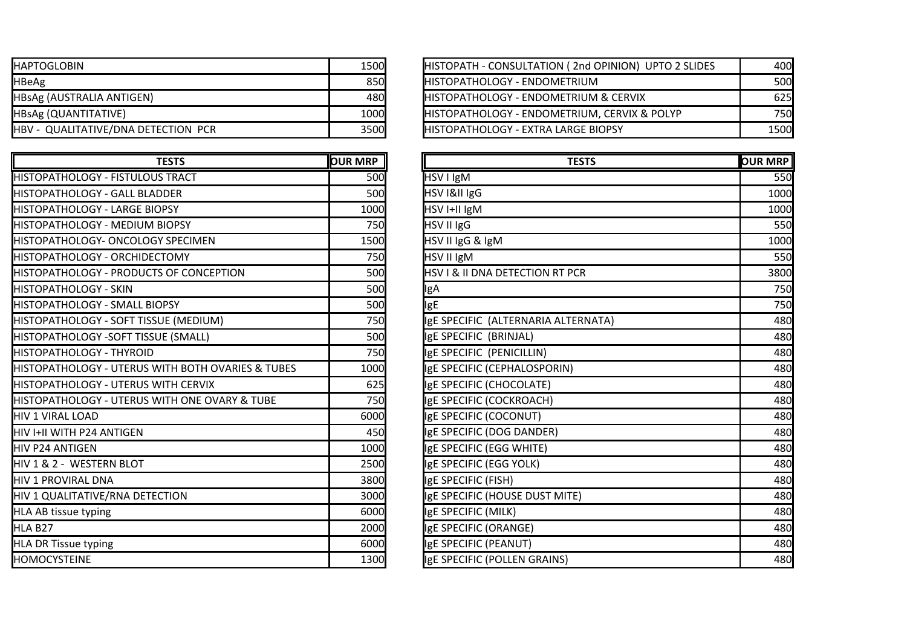| IHAPTOGLOBIN                        | 1500l | HISTOPATH - CONSULTATION (2nd OPINION) UPTO 2 SLIDES | 400  |
|-------------------------------------|-------|------------------------------------------------------|------|
| HBeAg                               | 850   | <b>IHISTOPATHOLOGY - ENDOMETRIUM</b>                 | 500  |
| HBsAg (AUSTRALIA ANTIGEN)           | 480I  | <b>HISTOPATHOLOGY - ENDOMETRIUM &amp; CERVIX</b>     | 625  |
| HBsAg (QUANTITATIVE)                | 1000l | HISTOPATHOLOGY - ENDOMETRIUM, CERVIX & POLYP         | 750  |
| HBV - QUALITATIVE/DNA DETECTION PCR | 3500  | <b>HISTOPATHOLOGY - EXTRA LARGE BIOPSY</b>           | 1500 |

| <b>TESTS</b>                                      | <b>OUR MRP</b> | <b>TESTS</b>                               | <b>OUR MRP</b> |
|---------------------------------------------------|----------------|--------------------------------------------|----------------|
| HISTOPATHOLOGY - FISTULOUS TRACT                  | 500            | HSV I IgM                                  | 550            |
| HISTOPATHOLOGY - GALL BLADDER                     | 500            | HSV I&II IgG                               | 1000           |
| HISTOPATHOLOGY - LARGE BIOPSY                     | 1000           | HSV I+II IgM                               | 1000           |
| <b>I</b> HISTOPATHOLOGY - MEDIUM BIOPSY           | 750            | HSV II IgG                                 | 550            |
| HISTOPATHOLOGY- ONCOLOGY SPECIMEN                 | 1500           | HSV II IgG & IgM                           | 1000           |
| HISTOPATHOLOGY - ORCHIDECTOMY                     | 750            | HSV II IgM                                 | 550            |
| HISTOPATHOLOGY - PRODUCTS OF CONCEPTION           | 500            | <b>HSV I &amp; II DNA DETECTION RT PCR</b> | 3800           |
| HISTOPATHOLOGY - SKIN                             | 500            | <b>IgA</b>                                 | 750            |
| HISTOPATHOLOGY - SMALL BIOPSY                     | 500            | <b>IgE</b>                                 | 750            |
| HISTOPATHOLOGY - SOFT TISSUE (MEDIUM)             | 750            | IgE SPECIFIC (ALTERNARIA ALTERNATA)        | 480            |
| HISTOPATHOLOGY -SOFT TISSUE (SMALL)               | 500            | IgE SPECIFIC (BRINJAL)                     | 480            |
| HISTOPATHOLOGY - THYROID                          | 750            | IgE SPECIFIC (PENICILLIN)                  | 480            |
| HISTOPATHOLOGY - UTERUS WITH BOTH OVARIES & TUBES | 1000           | IgE SPECIFIC (CEPHALOSPORIN)               | 480            |
| HISTOPATHOLOGY - UTERUS WITH CERVIX               | 625            | IgE SPECIFIC (CHOCOLATE)                   | 480            |
| HISTOPATHOLOGY - UTERUS WITH ONE OVARY & TUBE     | 750            | IgE SPECIFIC (COCKROACH)                   | 480            |
| IHIV 1 VIRAL LOAD                                 | 6000           | IgE SPECIFIC (COCONUT)                     | 480            |
| HIV I+II WITH P24 ANTIGEN                         | 450            | IgE SPECIFIC (DOG DANDER)                  | 480            |
| <b>I</b> HIV P24 ANTIGEN                          | 1000           | IgE SPECIFIC (EGG WHITE)                   | 480            |
| HIV 1 & 2 - WESTERN BLOT                          | 2500           | IgE SPECIFIC (EGG YOLK)                    | 480            |
| <b>HIV 1 PROVIRAL DNA</b>                         | 3800           | IgE SPECIFIC (FISH)                        | 480            |
| HIV 1 QUALITATIVE/RNA DETECTION                   | 3000           | IgE SPECIFIC (HOUSE DUST MITE)             | 480            |
| HLA AB tissue typing                              | 6000           | IgE SPECIFIC (MILK)                        | 480            |
| <b>HLA B27</b>                                    | 2000           | IgE SPECIFIC (ORANGE)                      | 480            |
| HLA DR Tissue typing                              | 6000           | IgE SPECIFIC (PEANUT)                      | 480            |
| <b>HOMOCYSTEINE</b>                               | 1300           | IgE SPECIFIC (POLLEN GRAINS)               | 480            |

| 1500 | HISTOPATH - CONSULTATION (2nd OPINION) UPTO 2 SLIDES | 400I        |
|------|------------------------------------------------------|-------------|
| 850  | <b>IHISTOPATHOLOGY - ENDOMETRIUM</b>                 | <b>500</b>  |
| 480  | <b>HISTOPATHOLOGY - ENDOMETRIUM &amp; CERVIX</b>     | 625         |
| 1000 | HISTOPATHOLOGY - ENDOMETRIUM, CERVIX & POLYP         | 750I        |
| 3500 | <b>IHISTOPATHOLOGY - EXTRA LARGE BIOPSY</b>          | <b>1500</b> |
|      |                                                      |             |

| <b>TESTS</b>              | <b>OUR MRP</b> | <b>TESTS</b>                        | <b>OUR MRP</b> |
|---------------------------|----------------|-------------------------------------|----------------|
| <b>S TRACT</b>            | <b>500</b>     | HSV I IgM                           | 550            |
| <b>DDER</b>               | 500            | HSV I&II IgG                        | 1000           |
| <b>OPSY</b>               | 1000           | HSV I+II IgM                        | 1000           |
| <b>BIOPSY</b>             | 750            | HSV II IgG                          | 550            |
| Y SPECIMEN                | 1500           | HSV II IgG & IgM                    | 1000           |
| <b>CTOMY</b>              | 750            | HSV II IgM                          | 550            |
| S OF CONCEPTION           | 500            | HSV I & II DNA DETECTION RT PCR     | 3800           |
|                           | 500            | IgA                                 | 750            |
| <b>OPSY</b>               | 500            | <b>IgE</b>                          | 750            |
| UE (MEDIUM)               | 750            | IgE SPECIFIC (ALTERNARIA ALTERNATA) | 480            |
| <b>JE (SMALL)</b>         | 500            | IgE SPECIFIC (BRINJAL)              | 480            |
|                           | 750            | IgE SPECIFIC (PENICILLIN)           | 480            |
| VITH BOTH OVARIES & TUBES | 1000           | IgE SPECIFIC (CEPHALOSPORIN)        | 480            |
| <b>VITH CERVIX</b>        | 625            | IgE SPECIFIC (CHOCOLATE)            | 480            |
| VITH ONE OVARY & TUBE     | 750            | IgE SPECIFIC (COCKROACH)            | 480            |
|                           | 6000           | IgE SPECIFIC (COCONUT)              | 480            |
|                           | 450            | IgE SPECIFIC (DOG DANDER)           | 480            |
|                           | 1000           | IgE SPECIFIC (EGG WHITE)            | 480            |
|                           | 2500           | IgE SPECIFIC (EGG YOLK)             | 480            |
|                           | 3800           | IgE SPECIFIC (FISH)                 | 480            |
| <b>CTION</b>              | 3000           | IgE SPECIFIC (HOUSE DUST MITE)      | 480            |
|                           | 6000           | IgE SPECIFIC (MILK)                 | 480            |
|                           | 2000           | IgE SPECIFIC (ORANGE)               | 480            |
|                           | 6000           | IgE SPECIFIC (PEANUT)               | 480            |
|                           | 1300           | IgE SPECIFIC (POLLEN GRAINS)        | 480            |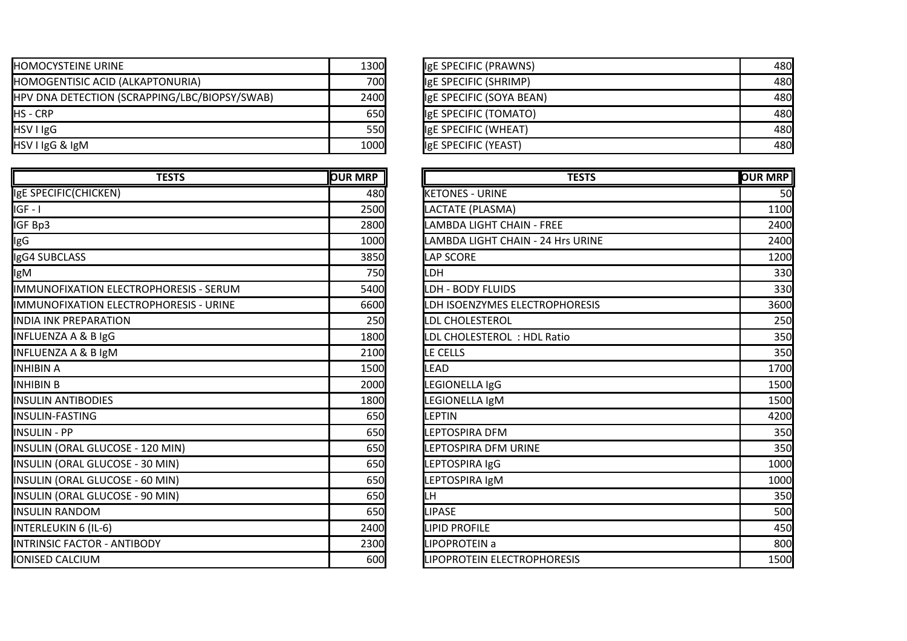| <b>IHOMOCYSTEINE URINE</b>                    | 1300         | IgE SPECIFIC (PRAWNS)    | 480 |
|-----------------------------------------------|--------------|--------------------------|-----|
| HOMOGENTISIC ACID (ALKAPTONURIA)              | <b>700</b>   | IgE SPECIFIC (SHRIMP)    | 480 |
| HPV DNA DETECTION (SCRAPPING/LBC/BIOPSY/SWAB) | 2400         | IgE SPECIFIC (SOYA BEAN) | 480 |
| <b>IHS - CRP</b>                              | 650 <b>I</b> | IgE SPECIFIC (TOMATO)    | 480 |
| HSV I IgG                                     | <b>550</b>   | IgE SPECIFIC (WHEAT)     | 480 |
| HSV I IgG & IgM                               | 1000         | IgE SPECIFIC (YEAST)     | 480 |

| <b>TESTS</b>                            | <b>OUR MRP</b> | <b>TESTS</b>                      | <b>OUR MRP</b> |
|-----------------------------------------|----------------|-----------------------------------|----------------|
| IgE SPECIFIC(CHICKEN)                   | 480            | <b>KETONES - URINE</b>            | 50             |
| liGF - I                                | 2500           | LACTATE (PLASMA)                  | 1100           |
| IGF Bp3                                 | 2800           | LAMBDA LIGHT CHAIN - FREE         | 2400           |
| lgG                                     | 1000           | LAMBDA LIGHT CHAIN - 24 Hrs URINE | 2400           |
| IgG4 SUBCLASS                           | 3850           | <b>LAP SCORE</b>                  | 1200           |
| lgM                                     | 750            | LDH                               | 330            |
| IIMMUNOFIXATION ELECTROPHORESIS - SERUM | 5400           | <b>LDH - BODY FLUIDS</b>          | 330            |
| IIMMUNOFIXATION ELECTROPHORESIS - URINE | 6600           | LDH ISOENZYMES ELECTROPHORESIS    | 3600           |
| <b>INDIA INK PREPARATION</b>            | 250            | <b>LDL CHOLESTEROL</b>            | 250            |
| <b>INFLUENZA A &amp; B IgG</b>          | 1800           | LDL CHOLESTEROL: HDL Ratio        | 350            |
| <b>INFLUENZA A &amp; B IgM</b>          | 2100           | LE CELLS                          | 350            |
| INHIBIN A                               | 1500           | LEAD                              | 1700           |
| INHIBIN B                               | 2000           | LEGIONELLA IgG                    | 1500           |
| <b>I</b> INSULIN ANTIBODIES             | 1800           | LEGIONELLA IgM                    | 1500           |
| <b>INSULIN-FASTING</b>                  | 650            | <b>LEPTIN</b>                     | 4200           |
| <b>INSULIN - PP</b>                     | 650            | LEPTOSPIRA DFM                    | 350            |
| INSULIN (ORAL GLUCOSE - 120 MIN)        | 650            | LEPTOSPIRA DFM URINE              | 350            |
| INSULIN (ORAL GLUCOSE - 30 MIN)         | 650            | LEPTOSPIRA IgG                    | 1000           |
| INSULIN (ORAL GLUCOSE - 60 MIN)         | 650            | LEPTOSPIRA IgM                    | 1000           |
| INSULIN (ORAL GLUCOSE - 90 MIN)         | 650            | ILН                               | 350            |
| <b>I</b> INSULIN RANDOM                 | 650            | <b>LIPASE</b>                     | 500            |
| INTERLEUKIN 6 (IL-6)                    | 2400           | <b>LIPID PROFILE</b>              | 450            |
| <b>INTRINSIC FACTOR - ANTIBODY</b>      | 2300           | LIPOPROTEIN a                     | 800            |
| IONISED CALCIUM                         | 600            | LIPOPROTEIN ELECTROPHORESIS       | 1500           |

| 1300 | IgE SPECIFIC (PRAWNS)    | 480l |
|------|--------------------------|------|
| 700  | IgE SPECIFIC (SHRIMP)    | 480  |
| 2400 | IgE SPECIFIC (SOYA BEAN) | 480  |
| 650  | IgE SPECIFIC (TOMATO)    | 480  |
|      | IgE SPECIFIC (WHEAT)     | 480  |
| 1000 | IgE SPECIFIC (YEAST)     | 480  |
| 550  |                          |      |

| <b>TESTS</b>           | <b>OUR MRP</b> | <b>TESTS</b>                      | <b>OUR MRP</b> |
|------------------------|----------------|-----------------------------------|----------------|
|                        | 480            | <b>KETONES - URINE</b>            | 50             |
|                        | 2500           | LACTATE (PLASMA)                  | 1100           |
|                        | 2800           | LAMBDA LIGHT CHAIN - FREE         | 2400           |
|                        | <b>1000</b>    | LAMBDA LIGHT CHAIN - 24 Hrs URINE | 2400           |
|                        | 3850           | <b>LAP SCORE</b>                  | 1200           |
|                        | 750            | LDH                               | 330            |
| <b>HORESIS - SERUM</b> | 5400           | LDH - BODY FLUIDS                 | 330            |
| <b>HORESIS - URINE</b> | 6600           | LDH ISOENZYMES ELECTROPHORESIS    | 3600           |
|                        | 250            | LDL CHOLESTEROL                   | 250            |
|                        | 1800           | LDL CHOLESTEROL: HDL Ratio        | 350            |
|                        | 2100           | LE CELLS                          | 350            |
|                        | 1500           | <b>LEAD</b>                       | 1700           |
|                        | 2000           | LEGIONELLA IgG                    | 1500           |
|                        | 1800           | LEGIONELLA IgM                    | 1500           |
|                        | 650            | <b>LEPTIN</b>                     | 4200           |
|                        | 650            | LEPTOSPIRA DFM                    | 350            |
| ) MIN)                 | 650            | LEPTOSPIRA DFM URINE              | 350            |
| MIN)                   | 650            | LEPTOSPIRA IgG                    | 1000           |
| MIN)                   | 650            | LEPTOSPIRA IgM                    | 1000           |
| MIN)                   | 650            | LH                                | 350            |
|                        | 650            | <b>LIPASE</b>                     | 500            |
|                        | 2400           | <b>LIPID PROFILE</b>              | 450            |
| Y.                     | 2300           | LIPOPROTEIN a                     | 800            |
|                        | 600            | LIPOPROTEIN ELECTROPHORESIS       | 1500           |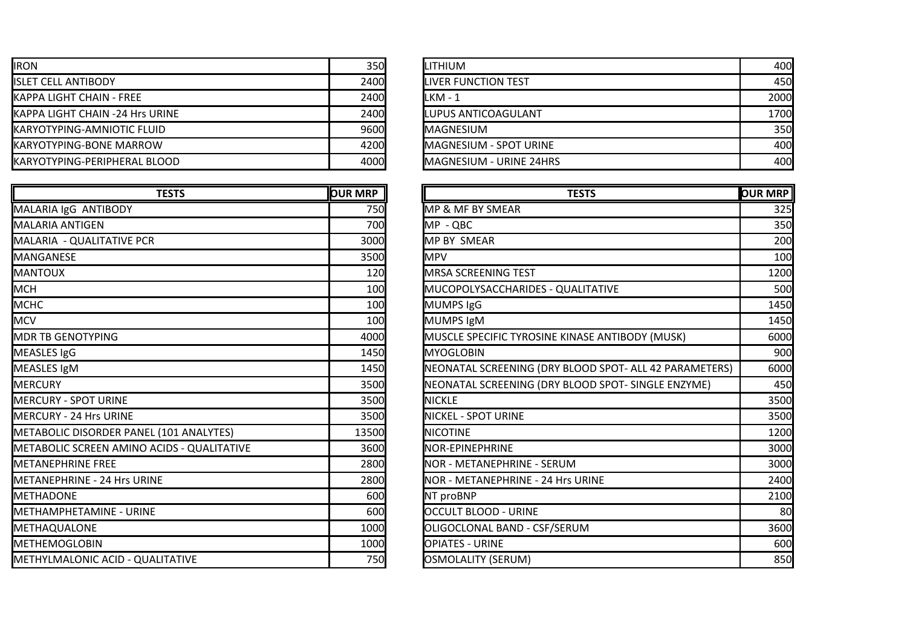| <b>IRON</b>                         | 350 <b>I</b> | <b>I</b> LITHIUM                | 400  |
|-------------------------------------|--------------|---------------------------------|------|
| <b>IISLET CELL ANTIBODY</b>         | 2400         | <b>ILIVER FUNCTION TEST</b>     | 450  |
| <b>IKAPPA LIGHT CHAIN - FREE</b>    | 2400         | ILKM - 1                        | 2000 |
| KAPPA LIGHT CHAIN -24 Hrs URINE     | 2400         | <b>ILUPUS ANTICOAGULANT</b>     | 1700 |
| <b>IKARYOTYPING-AMNIOTIC FLUID</b>  | 9600         | <b>IMAGNESIUM</b>               | 350  |
| <b>IKARYOTYPING-BONE MARROW</b>     | 4200         | <b>I</b> MAGNESIUM - SPOT URINE | 400  |
| <b>KARYOTYPING-PERIPHERAL BLOOD</b> | 4000         | MAGNESIUM - URINE 24HRS         | 400  |

| <b>TESTS</b>                               | <b>OUR MRP</b> | <b>TESTS</b>                                           | <b>OUR MRP</b> |
|--------------------------------------------|----------------|--------------------------------------------------------|----------------|
| MALARIA IgG ANTIBODY                       | 750            | <b>MP &amp; MF BY SMEAR</b>                            | 325            |
| <b>MALARIA ANTIGEN</b>                     | 700            | MP - QBC                                               | 350            |
| MALARIA - QUALITATIVE PCR                  | 3000           | <b>MP BY SMEAR</b>                                     | 200            |
| MANGANESE                                  | 3500           | <b>MPV</b>                                             | 100            |
| <b>MANTOUX</b>                             | 120            | <b>MRSA SCREENING TEST</b>                             | 1200           |
| <b>MCH</b>                                 | 100            | <b>IMUCOPOLYSACCHARIDES - QUALITATIVE</b>              | 500            |
| <b>MCHC</b>                                | 100            | <b>MUMPS IgG</b>                                       | 1450           |
| <b>MCV</b>                                 | 100            | <b>MUMPS IgM</b>                                       | 1450           |
| <b>MDR TB GENOTYPING</b>                   | 4000           | MUSCLE SPECIFIC TYROSINE KINASE ANTIBODY (MUSK)        | 6000           |
| MEASLES IgG                                | 1450           | <b>MYOGLOBIN</b>                                       | 900            |
| MEASLES IgM                                | 1450           | NEONATAL SCREENING (DRY BLOOD SPOT- ALL 42 PARAMETERS) | 6000           |
| MERCURY                                    | 3500           | NEONATAL SCREENING (DRY BLOOD SPOT- SINGLE ENZYME)     | 450            |
| <b>MERCURY - SPOT URINE</b>                | 3500           | <b>NICKLE</b>                                          | 3500           |
| <b>MERCURY - 24 Hrs URINE</b>              | 3500           | <b>NICKEL - SPOT URINE</b>                             | 3500           |
| METABOLIC DISORDER PANEL (101 ANALYTES)    | 13500          | <b>NICOTINE</b>                                        | 1200           |
| METABOLIC SCREEN AMINO ACIDS - QUALITATIVE | 3600           | NOR-EPINEPHRINE                                        | 3000           |
| <b>I</b> METANEPHRINE FREE                 | 2800           | <b>INOR - METANEPHRINE - SERUM</b>                     | 3000           |
| METANEPHRINE - 24 Hrs URINE                | 2800           | NOR - METANEPHRINE - 24 Hrs URINE                      | 2400           |
| <b>I</b> METHADONE                         | 600            | NT proBNP                                              | 2100           |
| <b>I</b> METHAMPHETAMINE - URINE           | 600            | <b>OCCULT BLOOD - URINE</b>                            | 80             |
| METHAQUALONE                               | 1000           | OLIGOCLONAL BAND - CSF/SERUM                           | 3600           |
| <b>METHEMOGLOBIN</b>                       | 1000           | <b>OPIATES - URINE</b>                                 | 600            |
| <b>I</b> METHYLMALONIC ACID - QUALITATIVE  | 750            | OSMOLALITY (SERUM)                                     | 850            |

| <b>ILITHIUM</b>            | 400l |
|----------------------------|------|
| <b>LIVER FUNCTION TEST</b> | 450  |
| $LKM - 1$                  | 2000 |
| LUPUS ANTICOAGULANT        | 1700 |
| <b>MAGNESIUM</b>           | 350  |
| MAGNESIUM - SPOT URINE     | 400  |
| MAGNESIUM - URINE 24HRS    | 400  |

| <b>TESTS</b>              | <b>OUR MRP</b> | <b>TESTS</b>                                           | <b>OUR MRP</b> |
|---------------------------|----------------|--------------------------------------------------------|----------------|
|                           | 750            | <b>MP &amp; MF BY SMEAR</b>                            | 325            |
|                           | 700            | MP - QBC                                               | 350            |
|                           | 3000           | <b>MP BY SMEAR</b>                                     | 200            |
|                           | 3500           | <b>MPV</b>                                             | 100            |
|                           | 120            | <b>MRSA SCREENING TEST</b>                             | 1200           |
|                           | 100            | MUCOPOLYSACCHARIDES - QUALITATIVE                      | 500            |
|                           | 100            | <b>MUMPS IgG</b>                                       | 1450           |
|                           | 100            | <b>MUMPS IgM</b>                                       | 1450           |
|                           | 4000           | MUSCLE SPECIFIC TYROSINE KINASE ANTIBODY (MUSK)        | 6000           |
|                           | 1450           | <b>MYOGLOBIN</b>                                       | 900l           |
|                           | 1450           | NEONATAL SCREENING (DRY BLOOD SPOT- ALL 42 PARAMETERS) | 6000           |
|                           | 3500           | NEONATAL SCREENING (DRY BLOOD SPOT- SINGLE ENZYME)     | 450            |
|                           | 3500           | <b>INICKLE</b>                                         | 3500           |
|                           | 3500           | <b>NICKEL - SPOT URINE</b>                             | 3500           |
| (101 ANALYTES)            | 13500          | <b>INICOTINE</b>                                       | 1200           |
| <b>CIDS - QUALITATIVE</b> | 3600           | <b>NOR-EPINEPHRINE</b>                                 | 3000           |
|                           | 2800           | NOR - METANEPHRINE - SERUM                             | 3000           |
| E                         | 2800           | <b>NOR - METANEPHRINE - 24 Hrs URINE</b>               | 2400           |
|                           | 600            | NT proBNP                                              | 2100           |
|                           | 600            | <b>OCCULT BLOOD - URINE</b>                            | 80             |
|                           | 1000           | OLIGOCLONAL BAND - CSF/SERUM                           | 3600           |
|                           | 1000           | <b>OPIATES - URINE</b>                                 | 600            |
| LITATIVE                  | 750            | <b>OSMOLALITY (SERUM)</b>                              | 850            |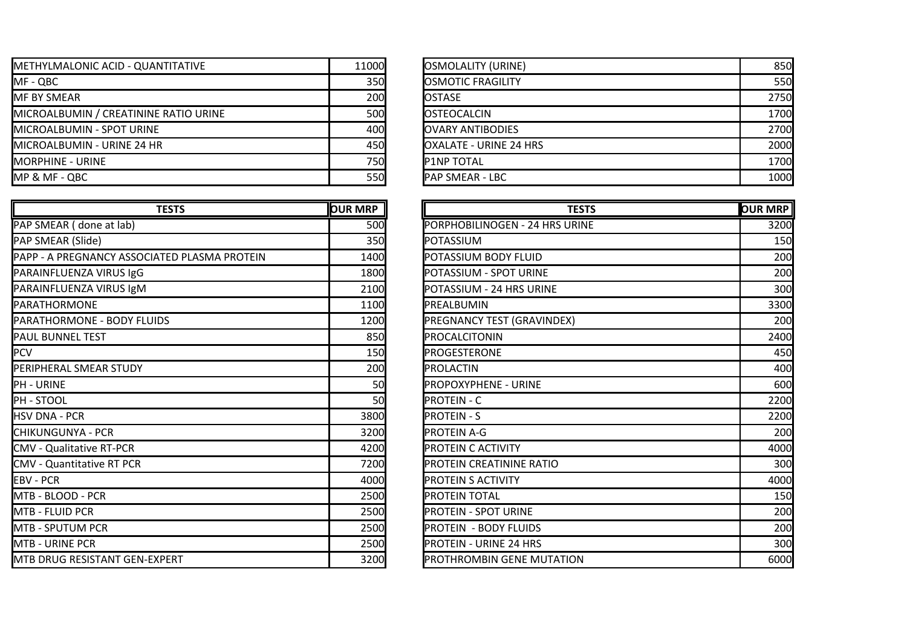| <b>I</b> METHYLMALONIC ACID - QUANTITATIVE | 11000        | <b>JOSMOLALITY (URINE)</b>     | 850  |
|--------------------------------------------|--------------|--------------------------------|------|
| IMF - QBC                                  | 350          | <b>IOSMOTIC FRAGILITY</b>      | 550  |
| <b>IMF BY SMEAR</b>                        | <b>200</b>   | <b>IOSTASE</b>                 | 2750 |
| MICROALBUMIN / CREATININE RATIO URINE      | 500l         | <b>IOSTEOCALCIN</b>            | 1700 |
| <b>I</b> MICROALBUMIN - SPOT URINE         | 400 <b>I</b> | <b>JOVARY ANTIBODIES</b>       | 2700 |
| <b>I</b> MICROALBUMIN - URINE 24 HR        | 450          | <b>IOXALATE - URINE 24 HRS</b> | 2000 |
| <b>IMORPHINE - URINE</b>                   | <b>750</b>   | <b>IP1NP TOTAL</b>             | 1700 |
| MP & MF - QBC                              | <b>550</b>   | <b>IPAP SMEAR - LBC</b>        | 1000 |

| <b>TESTS</b>                                 | <b>OUR MRP</b> | <b>TESTS</b>                    | <b>OUR MRP</b> |
|----------------------------------------------|----------------|---------------------------------|----------------|
| PAP SMEAR (done at lab)                      | 500            | PORPHOBILINOGEN - 24 HRS URINE  | 3200           |
| PAP SMEAR (Slide)                            | 350            | POTASSIUM                       | 150            |
| PAPP - A PREGNANCY ASSOCIATED PLASMA PROTEIN | 1400           | POTASSIUM BODY FLUID            | 200            |
| PARAINFLUENZA VIRUS IgG                      | 1800           | POTASSIUM - SPOT URINE          | 200            |
| PARAINFLUENZA VIRUS IgM                      | 2100           | POTASSIUM - 24 HRS URINE        | 300            |
| PARATHORMONE                                 | 1100           | PREALBUMIN                      | 3300           |
| PARATHORMONE - BODY FLUIDS                   | 1200           | PREGNANCY TEST (GRAVINDEX)      | 200            |
| <b>PAUL BUNNEL TEST</b>                      | 850            | PROCALCITONIN                   | 2400           |
| <b>PCV</b>                                   | 150            | <b>PROGESTERONE</b>             | 450            |
| PERIPHERAL SMEAR STUDY                       | 200            | PROLACTIN                       | 400            |
| PH - URINE                                   | 50             | <b>PROPOXYPHENE - URINE</b>     | 600            |
| PH - STOOL                                   | 50             | <b>PROTEIN - C</b>              | 2200           |
| HSV DNA - PCR                                | 3800           | <b>PROTEIN - S</b>              | 2200           |
| CHIKUNGUNYA - PCR                            | 3200           | <b>PROTEIN A-G</b>              | 200            |
| <b>CMV - Qualitative RT-PCR</b>              | 4200           | <b>PROTEIN C ACTIVITY</b>       | 4000           |
| <b>CMV - Quantitative RT PCR</b>             | 7200           | <b>PROTEIN CREATININE RATIO</b> | 300            |
| <b>EBV - PCR</b>                             | 4000           | <b>PROTEIN S ACTIVITY</b>       | 4000           |
| IMTB - BLOOD - PCR                           | 2500           | <b>PROTEIN TOTAL</b>            | 150            |
| MTB - FLUID PCR                              | 2500           | <b>PROTEIN - SPOT URINE</b>     | 200            |
| IMTB - SPUTUM PCR                            | 2500           | <b>PROTEIN - BODY FLUIDS</b>    | 200            |
| IMTB - URINE PCR                             | 2500           | <b>PROTEIN - URINE 24 HRS</b>   | 300            |
| MTB DRUG RESISTANT GEN-EXPERT                | 3200           | PROTHROMBIN GENE MUTATION       | 6000           |

| <b>OSMOLALITY (URINE)</b>     | 850  |
|-------------------------------|------|
| <b>OSMOTIC FRAGILITY</b>      | 550  |
| <b>OSTASE</b>                 | 2750 |
| <b>OSTEOCALCIN</b>            | 1700 |
| <b>OVARY ANTIBODIES</b>       | 2700 |
| <b>OXALATE - URINE 24 HRS</b> | 2000 |
| <b>P1NP TOTAL</b>             | 1700 |
| <b>PAP SMEAR - LBC</b>        | 1000 |

| <b>TESTS</b>        | <b>OUR MRP</b> | <b>TESTS</b>                    | <b>OUR MRP</b> |
|---------------------|----------------|---------------------------------|----------------|
|                     | <b>500</b>     | PORPHOBILINOGEN - 24 HRS URINE  | 3200           |
|                     | 350            | POTASSIUM                       | 150            |
| ATED PLASMA PROTEIN | 1400           | POTASSIUM BODY FLUID            | 200            |
|                     | 1800           | POTASSIUM - SPOT URINE          | 200            |
|                     | 2100           | POTASSIUM - 24 HRS URINE        | 300            |
|                     | 1100           | PREALBUMIN                      | 3300           |
| <b>DS</b>           | 1200           | PREGNANCY TEST (GRAVINDEX)      | 200            |
|                     | 850            | PROCALCITONIN                   | 2400           |
|                     | <b>150</b>     | PROGESTERONE                    | 450            |
|                     | <b>200</b>     | PROLACTIN                       | 400            |
|                     | <b>50</b>      | <b>PROPOXYPHENE - URINE</b>     | 600            |
|                     | <b>50</b>      | <b>PROTEIN - C</b>              | 2200           |
|                     | 3800           | <b>PROTEIN - S</b>              | 2200           |
|                     | 3200           | <b>PROTEIN A-G</b>              | 200            |
|                     | 4200           | PROTEIN C ACTIVITY              | 4000           |
|                     | 7200           | <b>PROTEIN CREATININE RATIO</b> | 300            |
|                     | 4000           | <b>PROTEIN S ACTIVITY</b>       | 4000           |
|                     | 2500           | <b>PROTEIN TOTAL</b>            | 150            |
|                     | 2500           | <b>PROTEIN - SPOT URINE</b>     | 200            |
|                     | 2500           | <b>PROTEIN - BODY FLUIDS</b>    | 200            |
|                     | 2500           | <b>IPROTEIN - URINE 24 HRS</b>  | 300            |
| <b>CPERT</b>        | 3200           | PROTHROMBIN GENE MUTATION       | 6000           |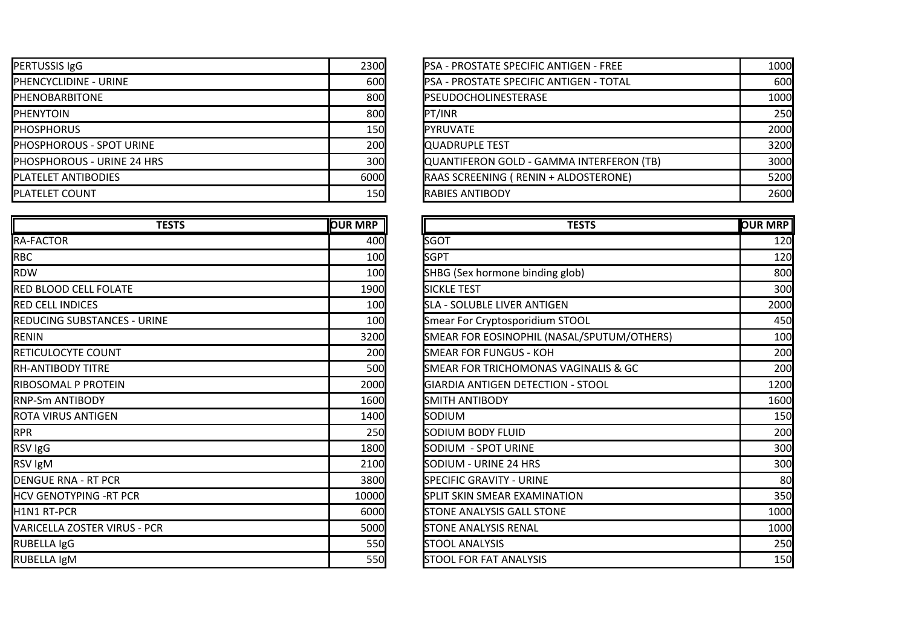| <b>PERTUSSIS IgG</b>              | <b>2300</b>  | <b>IPSA - PROSTATE SPECIFIC ANTIGEN - FREE</b>  | 1000 |
|-----------------------------------|--------------|-------------------------------------------------|------|
| <b>IPHENCYCLIDINE - URINE</b>     | 600 <b> </b> | <b>IPSA - PROSTATE SPECIFIC ANTIGEN - TOTAL</b> | 600  |
| <b>IPHENOBARBITONE</b>            | 800          | <b>IPSEUDOCHOLINESTERASE</b>                    | 1000 |
| <b>IPHENYTOIN</b>                 | 800          | PT/INR                                          | 250  |
| <b>IPHOSPHORUS</b>                | 150 <b>I</b> | <b>IPYRUVATE</b>                                | 2000 |
| <b>PHOSPHOROUS - SPOT URINE</b>   | <b>200</b>   | <b>IOUADRUPLE TEST</b>                          | 3200 |
| <b>PHOSPHOROUS - URINE 24 HRS</b> | 300          | QUANTIFERON GOLD - GAMMA INTERFERON (TB)        | 3000 |
| <b>PLATELET ANTIBODIES</b>        | 6000         | RAAS SCREENING (RENIN + ALDOSTERONE)            | 5200 |
| <b>IPLATELET COUNT</b>            | <b>150</b>   | <b>RABIES ANTIBODY</b>                          | 2600 |

| <b>TESTS</b>                       | <b>OUR MRP</b> | <b>TESTS</b>                               | <b>OUR MRP</b> |
|------------------------------------|----------------|--------------------------------------------|----------------|
| <b>RA-FACTOR</b>                   | 400            | <b>SGOT</b>                                | 120            |
| RBC                                | 100            | <b>SGPT</b>                                | 120            |
| RDW                                | 100            | SHBG (Sex hormone binding glob)            | 800            |
| <b>RED BLOOD CELL FOLATE</b>       | 1900           | <b>SICKLE TEST</b>                         | 300            |
| <b>RED CELL INDICES</b>            | 100            | <b>SLA - SOLUBLE LIVER ANTIGEN</b>         | 2000           |
| <b>REDUCING SUBSTANCES - URINE</b> | 100            | Smear For Cryptosporidium STOOL            | 450            |
| <b>RENIN</b>                       | 3200           | SMEAR FOR EOSINOPHIL (NASAL/SPUTUM/OTHERS) | 100            |
| RETICULOCYTE COUNT                 | 200            | <b>SMEAR FOR FUNGUS - KOH</b>              | 200            |
| <b>RH-ANTIBODY TITRE</b>           | 500            | SMEAR FOR TRICHOMONAS VAGINALIS & GC       | 200            |
| RIBOSOMAL P PROTEIN                | 2000           | <b>GIARDIA ANTIGEN DETECTION - STOOL</b>   | 1200           |
| <b>RNP-Sm ANTIBODY</b>             | 1600           | <b>SMITH ANTIBODY</b>                      | 1600           |
| <b>ROTA VIRUS ANTIGEN</b>          | 1400           | <b>SODIUM</b>                              | 150            |
| <b>RPR</b>                         | 250            | SODIUM BODY FLUID                          | 200            |
| RSV IgG                            | 1800           | SODIUM - SPOT URINE                        | 300            |
| RSV IgM                            | 2100           | SODIUM - URINE 24 HRS                      | 300            |
| <b>DENGUE RNA - RT PCR</b>         | 3800           | <b>SPECIFIC GRAVITY - URINE</b>            | 80             |
| <b>HCV GENOTYPING -RT PCR</b>      | 10000          | SPLIT SKIN SMEAR EXAMINATION               | 350            |
| H1N1 RT-PCR                        | 6000           | <b>STONE ANALYSIS GALL STONE</b>           | 1000           |
| VARICELLA ZOSTER VIRUS - PCR       | 5000           | <b>STONE ANALYSIS RENAL</b>                | 1000           |
| <b>RUBELLA IgG</b>                 | 550            | <b>STOOL ANALYSIS</b>                      | 250            |
| RUBELLA IgM                        | 550            | <b>STOOL FOR FAT ANALYSIS</b>              | 150            |

| PSA - PROSTATE SPECIFIC ANTIGEN - FREE<br>PSA - PROSTATE SPECIFIC ANTIGEN - TOTAL | 1000 |
|-----------------------------------------------------------------------------------|------|
|                                                                                   |      |
|                                                                                   | 600  |
| PSEUDOCHOLINESTERASE                                                              | 1000 |
| PT/INR                                                                            | 250  |
| <b>PYRUVATE</b>                                                                   | 2000 |
| <b>QUADRUPLE TEST</b>                                                             | 3200 |
| QUANTIFERON GOLD - GAMMA INTERFERON (TB)                                          | 3000 |
| RAAS SCREENING ( RENIN + ALDOSTERONE)                                             | 5200 |
| <b>RABIES ANTIBODY</b>                                                            | 2600 |
|                                                                                   |      |

| <b>TESTS</b> | <b>OUR MRP</b> | <b>TESTS</b>                               | <b>OUR MRP</b> |
|--------------|----------------|--------------------------------------------|----------------|
|              | 400            | <b>SGOT</b>                                | 120            |
|              | 100            | <b>SGPT</b>                                | 120            |
|              | 100            | SHBG (Sex hormone binding glob)            | 800            |
|              | 1900           | <b>SICKLE TEST</b>                         | 300            |
|              | 100            | <b>SLA - SOLUBLE LIVER ANTIGEN</b>         | 2000           |
| NF           | 100            | Smear For Cryptosporidium STOOL            | 450            |
|              | 3200           | SMEAR FOR EOSINOPHIL (NASAL/SPUTUM/OTHERS) | 100            |
|              | <b>200</b>     | <b>SMEAR FOR FUNGUS - KOH</b>              | 200            |
|              | 500            | SMEAR FOR TRICHOMONAS VAGINALIS & GC       | 200            |
|              | 2000           | GIARDIA ANTIGEN DETECTION - STOOL          | 1200           |
|              | 1600           | <b>SMITH ANTIBODY</b>                      | 1600           |
|              | 1400           | <b>SODIUM</b>                              | 150            |
|              | <b>250</b>     | SODIUM BODY FLUID                          | 200            |
|              | 1800           | SODIUM - SPOT URINE                        | 300            |
|              | 2100           | SODIUM - URINE 24 HRS                      | 300            |
|              | 3800           | <b>SPECIFIC GRAVITY - URINE</b>            | 80             |
|              | 10000          | <b>SPLIT SKIN SMEAR EXAMINATION</b>        | 350            |
|              | 6000           | <b>STONE ANALYSIS GALL STONE</b>           | 1000           |
| R            | 5000           | <b>STONE ANALYSIS RENAL</b>                | 1000           |
|              | <b>550</b>     | <b>STOOL ANALYSIS</b>                      | 250            |
|              | 550            | <b>STOOL FOR FAT ANALYSIS</b>              | 150            |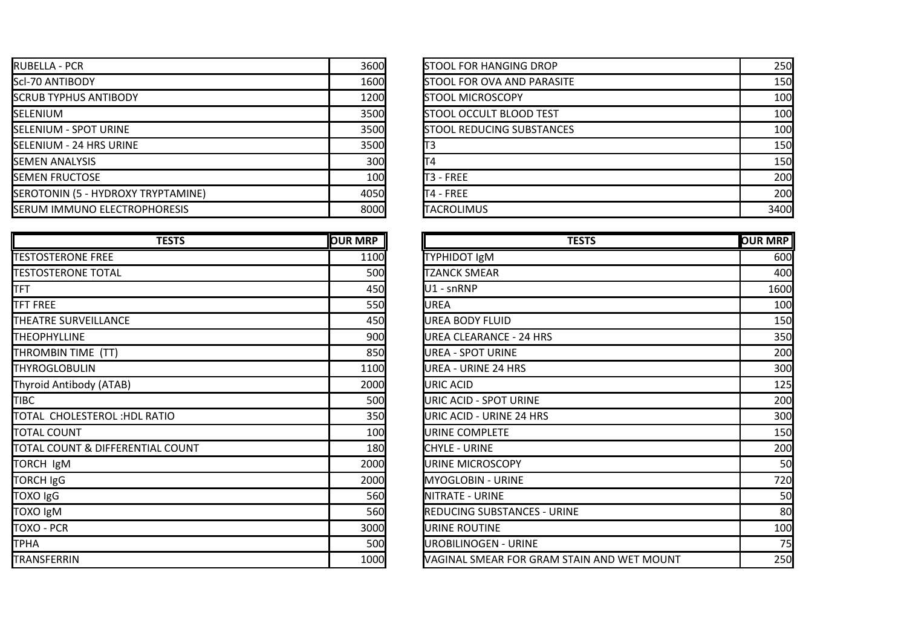| <b>IRUBELLA - PCR</b>                | 3600         | <b>ISTOOL FOR HANGING DROP</b>     | 250  |
|--------------------------------------|--------------|------------------------------------|------|
| <b>Scl-70 ANTIBODY</b>               | 1600         | <b>ISTOOL FOR OVA AND PARASITE</b> | 150  |
| <b>SCRUB TYPHUS ANTIBODY</b>         | <b>1200</b>  | <b>ISTOOL MICROSCOPY</b>           | 100  |
| <b>ISELENIUM</b>                     | 3500         | <b>STOOL OCCULT BLOOD TEST</b>     | 100  |
| <b>SELENIUM - SPOT URINE</b>         | 3500         | <b>STOOL REDUCING SUBSTANCES</b>   | 100  |
| <b>ISELENIUM - 24 HRS URINE</b>      | 3500         |                                    | 150  |
| <b>ISEMEN ANALYSIS</b>               | 300          |                                    | 150  |
| <b>ISEMEN FRUCTOSE</b>               | 100 <b>I</b> | IT3 - FREE                         | 200  |
| SEROTONIN (5 - HYDROXY TRYPTAMINE)   | 4050         | IT4 - FREE                         | 200  |
| <b>ISERUM IMMUNO ELECTROPHORESIS</b> | 8000         | <b>I</b> TACROLIMUS                | 3400 |

| <b>TESTS</b>                     | <b>OUR MRP</b> | <b>TESTS</b>                               | <b>OUR MRP</b> |
|----------------------------------|----------------|--------------------------------------------|----------------|
| <b>TESTOSTERONE FREE</b>         | 1100           | <b>TYPHIDOT IgM</b>                        | 600            |
| <b>TESTOSTERONE TOTAL</b>        | 500            | <b>TZANCK SMEAR</b>                        | 400            |
| <b>TFT</b>                       | 450            | U1 - snRNP                                 | 1600           |
| <b>TFT FREE</b>                  | 550            | <b>UREA</b>                                | 100            |
| THEATRE SURVEILLANCE             | 450            | <b>UREA BODY FLUID</b>                     | 150            |
| <b>THEOPHYLLINE</b>              | 900            | <b>UREA CLEARANCE - 24 HRS</b>             | 350            |
| THROMBIN TIME (TT)               | 850            | <b>UREA - SPOT URINE</b>                   | 200            |
| <b>THYROGLOBULIN</b>             | 1100           | <b>UREA - URINE 24 HRS</b>                 | 300            |
| Thyroid Antibody (ATAB)          | 2000           | URIC ACID                                  | 125            |
| <b>TIBC</b>                      | 500            | <b>URIC ACID - SPOT URINE</b>              | 200            |
| TOTAL CHOLESTEROL: HDL RATIO     | 350            | URIC ACID - URINE 24 HRS                   | 300            |
| <b>TOTAL COUNT</b>               | 100            | URINE COMPLETE                             | 150            |
| TOTAL COUNT & DIFFERENTIAL COUNT | 180            | <b>CHYLE - URINE</b>                       | 200            |
| TORCH IgM                        | 2000           | URINE MICROSCOPY                           | 50             |
| TORCH IgG                        | 2000           | <b>MYOGLOBIN - URINE</b>                   | 720            |
| TOXO IgG                         | 560            | NITRATE - URINE                            | 50             |
| TOXO IgM                         | 560            | <b>REDUCING SUBSTANCES - URINE</b>         | 80             |
| TOXO - PCR                       | 3000           | URINE ROUTINE                              | 100            |
| TPHA                             | 500            | <b>UROBILINOGEN - URINE</b>                | 75             |
| TRANSFERRIN                      | 1000           | VAGINAL SMEAR FOR GRAM STAIN AND WET MOUNT | 250            |

| 3600 | <b>STOOL FOR HANGING DROP</b>     | 250  |
|------|-----------------------------------|------|
| 1600 | <b>STOOL FOR OVA AND PARASITE</b> | 150  |
| 1200 | <b>STOOL MICROSCOPY</b>           | 100  |
| 3500 | <b>STOOL OCCULT BLOOD TEST</b>    | 100  |
| 3500 | <b>STOOL REDUCING SUBSTANCES</b>  | 100  |
| 3500 | ТЗ                                | 150  |
| 300  | T4                                | 150  |
| 100  | T3 - FREE                         | 200  |
| 4050 | T4 - FREE                         | 200  |
| 8000 | TACROLIMUS                        | 3400 |

| <b>TESTS</b>   | <b>OUR MRP</b> | <b>TESTS</b>                               | <b>OUR MRP</b> |
|----------------|----------------|--------------------------------------------|----------------|
|                | 1100           | <b>TYPHIDOT IgM</b>                        | 600            |
|                | 500            | <b>TZANCK SMEAR</b>                        | 400            |
|                | 450            | U1 - snRNP                                 | 1600           |
|                | 550            | <b>UREA</b>                                | 100            |
|                | 450            | <b>UREA BODY FLUID</b>                     | 150            |
|                | 900            | <b>UREA CLEARANCE - 24 HRS</b>             | 350            |
|                | 850            | <b>UREA - SPOT URINE</b>                   | 200            |
|                | 1100           | <b>UREA - URINE 24 HRS</b>                 | 300            |
|                | 2000           | <b>URIC ACID</b>                           | 125            |
|                | 500            | URIC ACID - SPOT URINE                     | 200            |
| <b>OIT</b>     | 350            | URIC ACID - URINE 24 HRS                   | 300            |
|                | 100            | URINE COMPLETE                             | 150            |
| <b>L COUNT</b> | <b>180</b>     | <b>CHYLE - URINE</b>                       | 200            |
|                | 2000           | URINE MICROSCOPY                           | 50             |
|                | 2000           | <b>MYOGLOBIN - URINE</b>                   | 720            |
|                | 560            | NITRATE - URINE                            | 50             |
|                | 560            | <b>REDUCING SUBSTANCES - URINE</b>         | 80             |
|                | 3000           | URINE ROUTINE                              | 100            |
|                | 500            | UROBILINOGEN - URINE                       | 75             |
|                | 1000           | VAGINAL SMEAR FOR GRAM STAIN AND WET MOUNT | 250            |